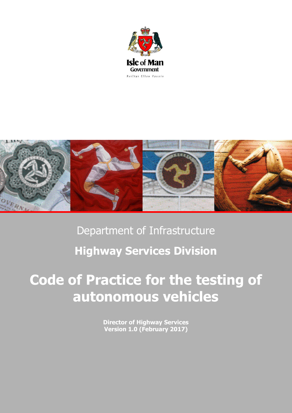



# Department of Infrastructure **Highway Services Division**

# **Code of Practice for the testing of autonomous vehicles**

**Director of Highway Services Version 1.0 (February 2017)**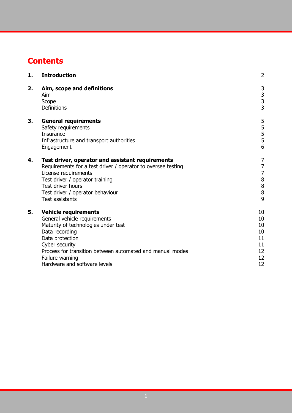# **Contents**

| 1. | <b>Introduction</b>                                                                                                                                                                                                                                                       | $\overline{2}$                                                 |
|----|---------------------------------------------------------------------------------------------------------------------------------------------------------------------------------------------------------------------------------------------------------------------------|----------------------------------------------------------------|
| 2. | Aim, scope and definitions<br>Aim<br>Scope<br>Definitions                                                                                                                                                                                                                 | $\begin{array}{c} 3 \\ 3 \\ 3 \end{array}$                     |
| 3. | <b>General requirements</b><br>Safety requirements<br><b>Insurance</b><br>Infrastructure and transport authorities<br>Engagement                                                                                                                                          | 5<br>5<br>5<br>5<br>5<br>6                                     |
| 4. | Test driver, operator and assistant requirements<br>Requirements for a test driver / operator to oversee testing<br>License requirements<br>Test driver / operator training<br>Test driver hours<br>Test driver / operator behaviour<br><b>Test assistants</b>            | 7<br>7<br>7<br>$\begin{array}{c} 8 \\ 8 \\ 8 \end{array}$<br>9 |
| 5. | <b>Vehicle requirements</b><br>General vehicle requirements<br>Maturity of technologies under test<br>Data recording<br>Data protection<br>Cyber security<br>Process for transition between automated and manual modes<br>Failure warning<br>Hardware and software levels | 10<br>10<br>10<br>10<br>11<br>11<br>12<br>12<br>12             |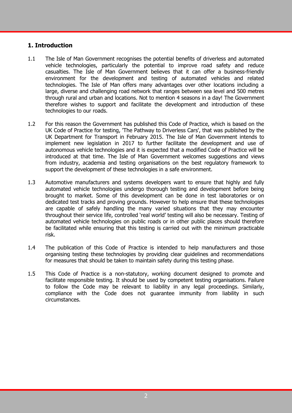### **1. Introduction**

- 1.1 The Isle of Man Government recognises the potential benefits of driverless and automated vehicle technologies, particularly the potential to improve road safety and reduce casualties. The Isle of Man Government believes that it can offer a business-friendly environment for the development and testing of automated vehicles and related technologies. The Isle of Man offers many advantages over other locations including a large, diverse and challenging road network that ranges between sea level and 500 metres through rural and urban and locations. Not to mention 4 seasons in a day! The Government therefore wishes to support and facilitate the development and introduction of these technologies to our roads.
- 1.2 For this reason the Government has published this Code of Practice, which is based on the UK Code of Practice for testing, 'The Pathway to Driverless Cars', that was published by the UK Department for Transport in February 2015. The Isle of Man Government intends to implement new legislation in 2017 to further facilitate the development and use of autonomous vehicle technologies and it is expected that a modified Code of Practice will be introduced at that time. The Isle of Man Government welcomes suggestions and views from industry, academia and testing organisations on the best regulatory framework to support the development of these technologies in a safe environment.
- 1.3 Automotive manufacturers and systems developers want to ensure that highly and fully automated vehicle technologies undergo thorough testing and development before being brought to market. Some of this development can be done in test laboratories or on dedicated test tracks and proving grounds. However to help ensure that these technologies are capable of safely handling the many varied situations that they may encounter throughout their service life, controlled 'real world' testing will also be necessary. Testing of automated vehicle technologies on public roads or in other public places should therefore be facilitated while ensuring that this testing is carried out with the minimum practicable risk.
- 1.4 The publication of this Code of Practice is intended to help manufacturers and those organising testing these technologies by providing clear guidelines and recommendations for measures that should be taken to maintain safety during this testing phase.
- 1.5 This Code of Practice is a non-statutory, working document designed to promote and facilitate responsible testing. It should be used by competent testing organisations. Failure to follow the Code may be relevant to liability in any legal proceedings. Similarly, compliance with the Code does not guarantee immunity from liability in such circumstances.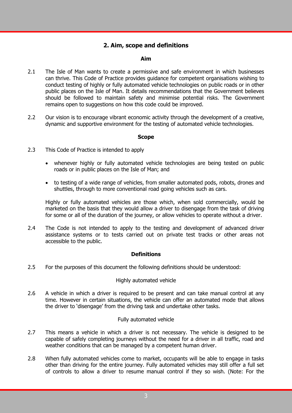# **2. Aim, scope and definitions**

#### **Aim**

- 2.1 The Isle of Man wants to create a permissive and safe environment in which businesses can thrive. This Code of Practice provides guidance for competent organisations wishing to conduct testing of highly or fully automated vehicle technologies on public roads or in other public places on the Isle of Man. It details recommendations that the Government believes should be followed to maintain safety and minimise potential risks. The Government remains open to suggestions on how this code could be improved.
- 2.2 Our vision is to encourage vibrant economic activity through the development of a creative, dynamic and supportive environment for the testing of automated vehicle technologies.

#### **Scope**

- 2.3 This Code of Practice is intended to apply
	- whenever highly or fully automated vehicle technologies are being tested on public roads or in public places on the Isle of Man; and
	- to testing of a wide range of vehicles, from smaller automated pods, robots, drones and shuttles, through to more conventional road going vehicles such as cars.

Highly or fully automated vehicles are those which, when sold commercially, would be marketed on the basis that they would allow a driver to disengage from the task of driving for some or all of the duration of the journey, or allow vehicles to operate without a driver.

2.4 The Code is not intended to apply to the testing and development of advanced driver assistance systems or to tests carried out on private test tracks or other areas not accessible to the public.

#### **Definitions**

2.5 For the purposes of this document the following definitions should be understood:

#### Highly automated vehicle

2.6 A vehicle in which a driver is required to be present and can take manual control at any time. However in certain situations, the vehicle can offer an automated mode that allows the driver to 'disengage' from the driving task and undertake other tasks.

#### Fully automated vehicle

- 2.7 This means a vehicle in which a driver is not necessary. The vehicle is designed to be capable of safely completing journeys without the need for a driver in all traffic, road and weather conditions that can be managed by a competent human driver.
- 2.8 When fully automated vehicles come to market, occupants will be able to engage in tasks other than driving for the entire journey. Fully automated vehicles may still offer a full set of controls to allow a driver to resume manual control if they so wish. (Note: For the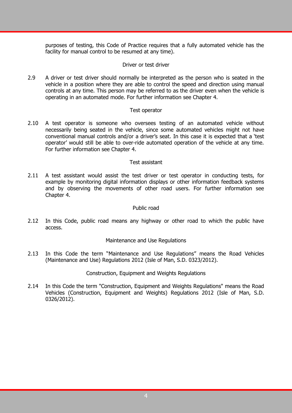purposes of testing, this Code of Practice requires that a fully automated vehicle has the facility for manual control to be resumed at any time).

#### Driver or test driver

2.9 A driver or test driver should normally be interpreted as the person who is seated in the vehicle in a position where they are able to control the speed and direction using manual controls at any time. This person may be referred to as the driver even when the vehicle is operating in an automated mode. For further information see Chapter 4.

#### Test operator

2.10 A test operator is someone who oversees testing of an automated vehicle without necessarily being seated in the vehicle, since some automated vehicles might not have conventional manual controls and/or a driver's seat. In this case it is expected that a 'test operator' would still be able to over-ride automated operation of the vehicle at any time. For further information see Chapter 4.

#### Test assistant

2.11 A test assistant would assist the test driver or test operator in conducting tests, for example by monitoring digital information displays or other information feedback systems and by observing the movements of other road users. For further information see Chapter 4.

#### Public road

2.12 In this Code, public road means any highway or other road to which the public have access.

#### Maintenance and Use Regulations

2.13 In this Code the term "Maintenance and Use Regulations" means the Road Vehicles (Maintenance and Use) Regulations 2012 (Isle of Man, S.D. 0323/2012).

Construction, Equipment and Weights Regulations

2.14 In this Code the term "Construction, Equipment and Weights Regulations" means the Road Vehicles (Construction, Equipment and Weights) Regulations 2012 (Isle of Man, S.D. 0326/2012).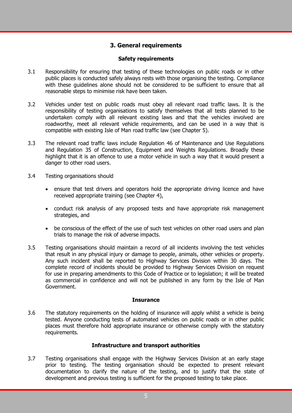## **3. General requirements**

#### **Safety requirements**

- 3.1 Responsibility for ensuring that testing of these technologies on public roads or in other public places is conducted safely always rests with those organising the testing. Compliance with these guidelines alone should not be considered to be sufficient to ensure that all reasonable steps to minimise risk have been taken.
- 3.2 Vehicles under test on public roads must obey all relevant road traffic laws. It is the responsibility of testing organisations to satisfy themselves that all tests planned to be undertaken comply with all relevant existing laws and that the vehicles involved are roadworthy, meet all relevant vehicle requirements, and can be used in a way that is compatible with existing Isle of Man road traffic law (see Chapter 5).
- 3.3 The relevant road traffic laws include Regulation 46 of Maintenance and Use Regulations and Regulation 35 of Construction, Equipment and Weights Regulations. Broadly these highlight that it is an offence to use a motor vehicle in such a way that it would present a danger to other road users.
- 3.4 Testing organisations should
	- ensure that test drivers and operators hold the appropriate driving licence and have received appropriate training (see Chapter 4),
	- conduct risk analysis of any proposed tests and have appropriate risk management strategies, and
	- be conscious of the effect of the use of such test vehicles on other road users and plan trials to manage the risk of adverse impacts.
- 3.5 Testing organisations should maintain a record of all incidents involving the test vehicles that result in any physical injury or damage to people, animals, other vehicles or property. Any such incident shall be reported to Highway Services Division within 30 days. The complete record of incidents should be provided to Highway Services Division on request for use in preparing amendments to this Code of Practice or to legislation; it will be treated as commercial in confidence and will not be published in any form by the Isle of Man Government.

#### **Insurance**

3.6 The statutory requirements on the holding of insurance will apply whilst a vehicle is being tested. Anyone conducting tests of automated vehicles on public roads or in other public places must therefore hold appropriate insurance or otherwise comply with the statutory requirements.

#### **Infrastructure and transport authorities**

3.7 Testing organisations shall engage with the Highway Services Division at an early stage prior to testing. The testing organisation should be expected to present relevant documentation to clarify the nature of the testing, and to justify that the state of development and previous testing is sufficient for the proposed testing to take place.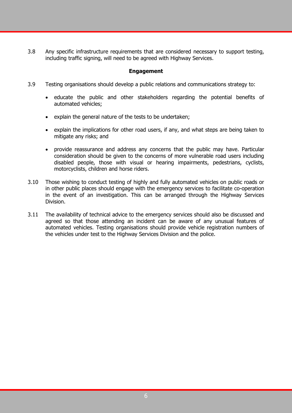3.8 Any specific infrastructure requirements that are considered necessary to support testing, including traffic signing, will need to be agreed with Highway Services.

#### **Engagement**

- 3.9 Testing organisations should develop a public relations and communications strategy to:
	- educate the public and other stakeholders regarding the potential benefits of automated vehicles;
	- explain the general nature of the tests to be undertaken;
	- explain the implications for other road users, if any, and what steps are being taken to mitigate any risks; and
	- provide reassurance and address any concerns that the public may have. Particular consideration should be given to the concerns of more vulnerable road users including disabled people, those with visual or hearing impairments, pedestrians, cyclists, motorcyclists, children and horse riders.
- 3.10 Those wishing to conduct testing of highly and fully automated vehicles on public roads or in other public places should engage with the emergency services to facilitate co-operation in the event of an investigation. This can be arranged through the Highway Services Division.
- 3.11 The availability of technical advice to the emergency services should also be discussed and agreed so that those attending an incident can be aware of any unusual features of automated vehicles. Testing organisations should provide vehicle registration numbers of the vehicles under test to the Highway Services Division and the police.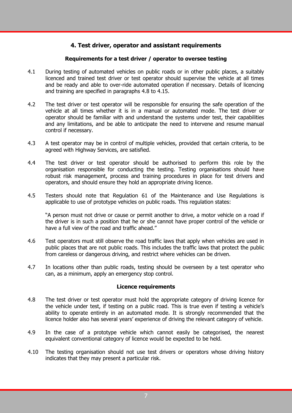# **4. Test driver, operator and assistant requirements**

#### **Requirements for a test driver / operator to oversee testing**

- 4.1 During testing of automated vehicles on public roads or in other public places, a suitably licenced and trained test driver or test operator should supervise the vehicle at all times and be ready and able to over-ride automated operation if necessary. Details of licencing and training are specified in paragraphs 4.8 to 4.15.
- 4.2 The test driver or test operator will be responsible for ensuring the safe operation of the vehicle at all times whether it is in a manual or automated mode. The test driver or operator should be familiar with and understand the systems under test, their capabilities and any limitations, and be able to anticipate the need to intervene and resume manual control if necessary.
- 4.3 A test operator may be in control of multiple vehicles, provided that certain criteria, to be agreed with Highway Services, are satisfied.
- 4.4 The test driver or test operator should be authorised to perform this role by the organisation responsible for conducting the testing. Testing organisations should have robust risk management, process and training procedures in place for test drivers and operators, and should ensure they hold an appropriate driving licence.
- 4.5 Testers should note that Regulation 61 of the Maintenance and Use Regulations is applicable to use of prototype vehicles on public roads. This regulation states:

"A person must not drive or cause or permit another to drive, a motor vehicle on a road if the driver is in such a position that he or she cannot have proper control of the vehicle or have a full view of the road and traffic ahead."

- 4.6 Test operators must still observe the road traffic laws that apply when vehicles are used in public places that are not public roads. This includes the traffic laws that protect the public from careless or dangerous driving, and restrict where vehicles can be driven.
- 4.7 In locations other than public roads, testing should be overseen by a test operator who can, as a minimum, apply an emergency stop control.

#### **Licence requirements**

- 4.8 The test driver or test operator must hold the appropriate category of driving licence for the vehicle under test, if testing on a public road. This is true even if testing a vehicle's ability to operate entirely in an automated mode. It is strongly recommended that the licence holder also has several years' experience of driving the relevant category of vehicle.
- 4.9 In the case of a prototype vehicle which cannot easily be categorised, the nearest equivalent conventional category of licence would be expected to be held.
- 4.10 The testing organisation should not use test drivers or operators whose driving history indicates that they may present a particular risk.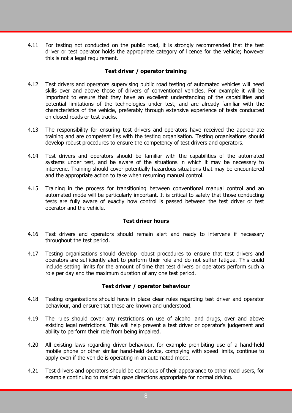4.11 For testing not conducted on the public road, it is strongly recommended that the test driver or test operator holds the appropriate category of licence for the vehicle; however this is not a legal requirement.

#### **Test driver / operator training**

- 4.12 Test drivers and operators supervising public road testing of automated vehicles will need skills over and above those of drivers of conventional vehicles. For example it will be important to ensure that they have an excellent understanding of the capabilities and potential limitations of the technologies under test, and are already familiar with the characteristics of the vehicle, preferably through extensive experience of tests conducted on closed roads or test tracks.
- 4.13 The responsibility for ensuring test drivers and operators have received the appropriate training and are competent lies with the testing organisation. Testing organisations should develop robust procedures to ensure the competency of test drivers and operators.
- 4.14 Test drivers and operators should be familiar with the capabilities of the automated systems under test, and be aware of the situations in which it may be necessary to intervene. Training should cover potentially hazardous situations that may be encountered and the appropriate action to take when resuming manual control.
- 4.15 Training in the process for transitioning between conventional manual control and an automated mode will be particularly important. It is critical to safety that those conducting tests are fully aware of exactly how control is passed between the test driver or test operator and the vehicle.

#### **Test driver hours**

- 4.16 Test drivers and operators should remain alert and ready to intervene if necessary throughout the test period.
- 4.17 Testing organisations should develop robust procedures to ensure that test drivers and operators are sufficiently alert to perform their role and do not suffer fatigue. This could include setting limits for the amount of time that test drivers or operators perform such a role per day and the maximum duration of any one test period.

#### **Test driver / operator behaviour**

- 4.18 Testing organisations should have in place clear rules regarding test driver and operator behaviour, and ensure that these are known and understood.
- 4.19 The rules should cover any restrictions on use of alcohol and drugs, over and above existing legal restrictions. This will help prevent a test driver or operator's judgement and ability to perform their role from being impaired.
- 4.20 All existing laws regarding driver behaviour, for example prohibiting use of a hand-held mobile phone or other similar hand-held device, complying with speed limits, continue to apply even if the vehicle is operating in an automated mode.
- 4.21 Test drivers and operators should be conscious of their appearance to other road users, for example continuing to maintain gaze directions appropriate for normal driving.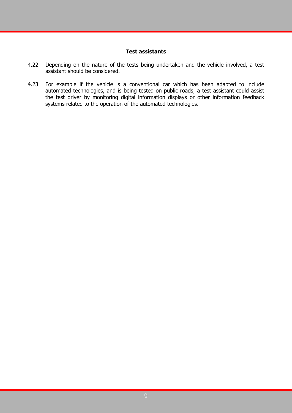#### **Test assistants**

- 4.22 Depending on the nature of the tests being undertaken and the vehicle involved, a test assistant should be considered.
- 4.23 For example if the vehicle is a conventional car which has been adapted to include automated technologies, and is being tested on public roads, a test assistant could assist the test driver by monitoring digital information displays or other information feedback systems related to the operation of the automated technologies.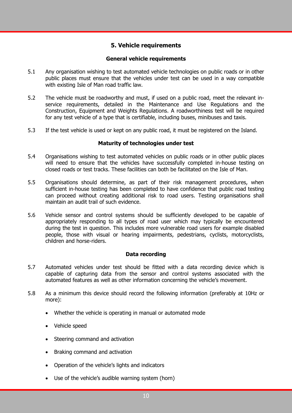# **5. Vehicle requirements**

#### **General vehicle requirements**

- 5.1 Any organisation wishing to test automated vehicle technologies on public roads or in other public places must ensure that the vehicles under test can be used in a way compatible with existing Isle of Man road traffic law.
- 5.2 The vehicle must be roadworthy and must, if used on a public road, meet the relevant inservice requirements, detailed in the Maintenance and Use Regulations and the Construction, Equipment and Weights Regulations. A roadworthiness test will be required for any test vehicle of a type that is certifiable, including buses, minibuses and taxis.
- 5.3 If the test vehicle is used or kept on any public road, it must be registered on the Island.

#### **Maturity of technologies under test**

- 5.4 Organisations wishing to test automated vehicles on public roads or in other public places will need to ensure that the vehicles have successfully completed in-house testing on closed roads or test tracks. These facilities can both be facilitated on the Isle of Man.
- 5.5 Organisations should determine, as part of their risk management procedures, when sufficient in-house testing has been completed to have confidence that public road testing can proceed without creating additional risk to road users. Testing organisations shall maintain an audit trail of such evidence.
- 5.6 Vehicle sensor and control systems should be sufficiently developed to be capable of appropriately responding to all types of road user which may typically be encountered during the test in question. This includes more vulnerable road users for example disabled people, those with visual or hearing impairments, pedestrians, cyclists, motorcyclists, children and horse-riders.

#### **Data recording**

- 5.7 Automated vehicles under test should be fitted with a data recording device which is capable of capturing data from the sensor and control systems associated with the automated features as well as other information concerning the vehicle's movement.
- 5.8 As a minimum this device should record the following information (preferably at 10Hz or more):
	- Whether the vehicle is operating in manual or automated mode
	- Vehicle speed
	- Steering command and activation
	- Braking command and activation
	- Operation of the vehicle's lights and indicators
	- Use of the vehicle's audible warning system (horn)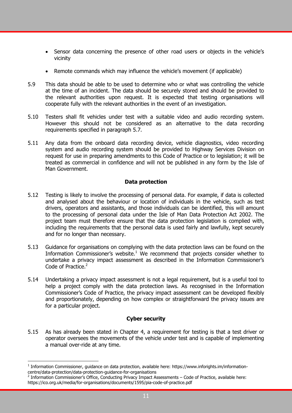- Sensor data concerning the presence of other road users or objects in the vehicle's vicinity
- Remote commands which may influence the vehicle's movement (if applicable)
- 5.9 This data should be able to be used to determine who or what was controlling the vehicle at the time of an incident. The data should be securely stored and should be provided to the relevant authorities upon request. It is expected that testing organisations will cooperate fully with the relevant authorities in the event of an investigation.
- 5.10 Testers shall fit vehicles under test with a suitable video and audio recording system. However this should not be considered as an alternative to the data recording requirements specified in paragraph 5.7.
- 5.11 Any data from the onboard data recording device, vehicle diagnostics, video recording system and audio recording system should be provided to Highway Services Division on request for use in preparing amendments to this Code of Practice or to legislation; it will be treated as commercial in confidence and will not be published in any form by the Isle of Man Government.

#### **Data protection**

- 5.12 Testing is likely to involve the processing of personal data. For example, if data is collected and analysed about the behaviour or location of individuals in the vehicle, such as test drivers, operators and assistants, and those individuals can be identified, this will amount to the processing of personal data under the Isle of Man Data Protection Act 2002. The project team must therefore ensure that the data protection legislation is complied with, including the requirements that the personal data is used fairly and lawfully, kept securely and for no longer than necessary.
- 5.13 Guidance for organisations on complying with the data protection laws can be found on the Information Commissioner's website.<sup>1</sup> We recommend that projects consider whether to undertake a privacy impact assessment as described in the Information Commissioner's Code of Practice.<sup>2</sup>
- 5.14 Undertaking a privacy impact assessment is not a legal requirement, but is a useful tool to help a project comply with the data protection laws. As recognised in the Information Commissioner's Code of Practice, the privacy impact assessment can be developed flexibly and proportionately, depending on how complex or straightforward the privacy issues are for a particular project.

#### **Cyber security**

5.15 As has already been stated in Chapter 4, a requirement for testing is that a test driver or operator oversees the movements of the vehicle under test and is capable of implementing a manual over-ride at any time.

<u>.</u>

<sup>&</sup>lt;sup>1</sup> Information Commissioner, guidance on data protection, available here: https://www.inforights.im/informationcentre/data-protection/data-protection-guidance-for-organisations<br><sup>2</sup> Information Commissioner's Office, Conducting Privacy Impact Assessments – Code of Practice, available here:

https://ico.org.uk/media/for-organisations/documents/1595/pia-code-of-practice.pdf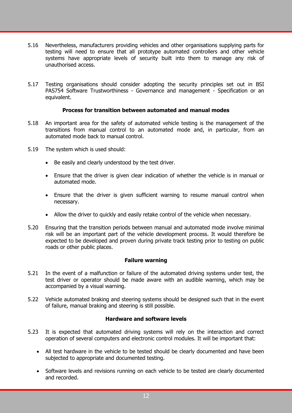- 5.16 Nevertheless, manufacturers providing vehicles and other organisations supplying parts for testing will need to ensure that all prototype automated controllers and other vehicle systems have appropriate levels of security built into them to manage any risk of unauthorised access.
- 5.17 Testing organisations should consider adopting the security principles set out in BSI PAS754 Software Trustworthiness - Governance and management - Specification or an equivalent.

#### **Process for transition between automated and manual modes**

- 5.18 An important area for the safety of automated vehicle testing is the management of the transitions from manual control to an automated mode and, in particular, from an automated mode back to manual control.
- 5.19 The system which is used should:
	- Be easily and clearly understood by the test driver.
	- Ensure that the driver is given clear indication of whether the vehicle is in manual or automated mode.
	- Ensure that the driver is given sufficient warning to resume manual control when necessary.
	- Allow the driver to quickly and easily retake control of the vehicle when necessary.
- 5.20 Ensuring that the transition periods between manual and automated mode involve minimal risk will be an important part of the vehicle development process. It would therefore be expected to be developed and proven during private track testing prior to testing on public roads or other public places.

#### **Failure warning**

- 5.21 In the event of a malfunction or failure of the automated driving systems under test, the test driver or operator should be made aware with an audible warning, which may be accompanied by a visual warning.
- 5.22 Vehicle automated braking and steering systems should be designed such that in the event of failure, manual braking and steering is still possible.

#### **Hardware and software levels**

- 5.23 It is expected that automated driving systems will rely on the interaction and correct operation of several computers and electronic control modules. It will be important that:
	- All test hardware in the vehicle to be tested should be clearly documented and have been subjected to appropriate and documented testing.
	- Software levels and revisions running on each vehicle to be tested are clearly documented and recorded.